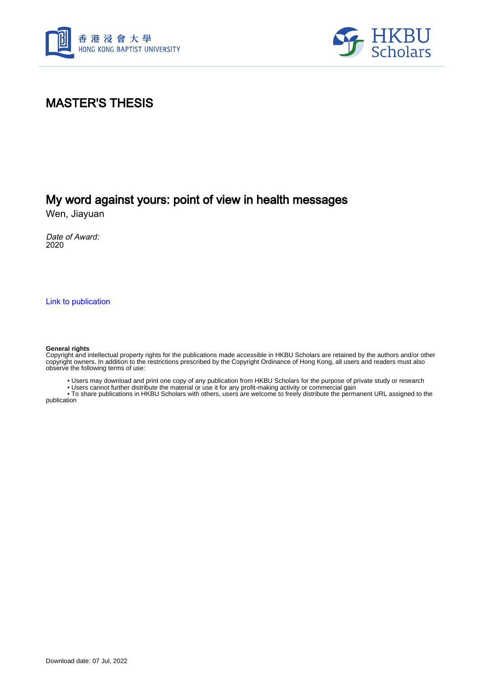



# MASTER'S THESIS

# My word against yours: point of view in health messages

Wen, Jiayuan

Date of Award: 2020

[Link to publication](https://scholars.hkbu.edu.hk/en/studentTheses/0b357755-b43b-477a-8d85-685367625a14)

#### **General rights**

Copyright and intellectual property rights for the publications made accessible in HKBU Scholars are retained by the authors and/or other copyright owners. In addition to the restrictions prescribed by the Copyright Ordinance of Hong Kong, all users and readers must also observe the following terms of use:

• Users may download and print one copy of any publication from HKBU Scholars for the purpose of private study or research

• Users cannot further distribute the material or use it for any profit-making activity or commercial gain

 • To share publications in HKBU Scholars with others, users are welcome to freely distribute the permanent URL assigned to the publication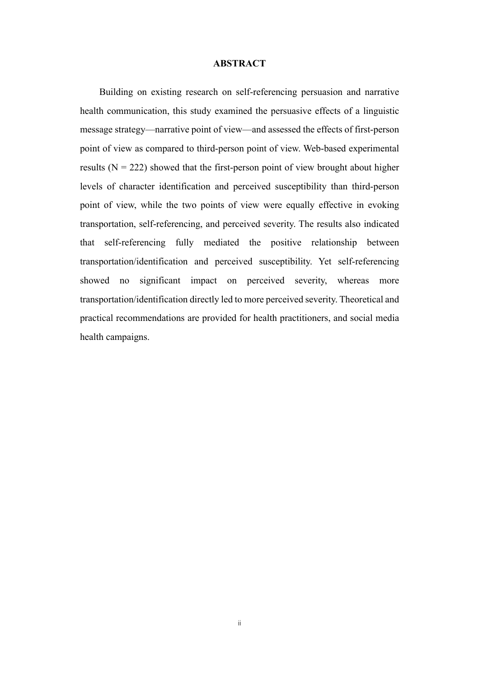### **ABSTRACT**

Building on existing research on self-referencing persuasion and narrative health communication, this study examined the persuasive effects of a linguistic message strategy—narrative point of view—and assessed the effects of first-person point of view as compared to third-person point of view. Web-based experimental results ( $N = 222$ ) showed that the first-person point of view brought about higher levels of character identification and perceived susceptibility than third-person point of view, while the two points of view were equally effective in evoking transportation, self-referencing, and perceived severity. The results also indicated that self-referencing fully mediated the positive relationship between transportation/identification and perceived susceptibility. Yet self-referencing showed no significant impact on perceived severity, whereas more transportation/identification directly led to more perceived severity. Theoretical and practical recommendations are provided for health practitioners, and social media health campaigns.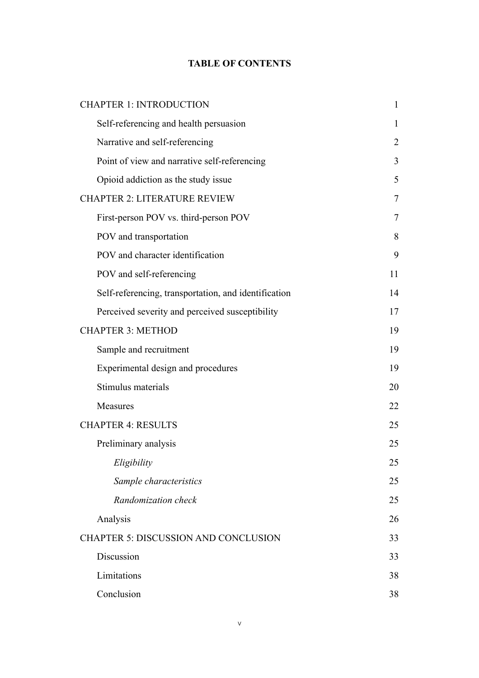### **TABLE OF CONTENTS**

| <b>CHAPTER 1: INTRODUCTION</b>                       | $\mathbf{1}$ |
|------------------------------------------------------|--------------|
| Self-referencing and health persuasion               | 1            |
| Narrative and self-referencing                       | 2            |
| Point of view and narrative self-referencing         | 3            |
| Opioid addiction as the study issue                  | 5            |
| <b>CHAPTER 2: LITERATURE REVIEW</b>                  | 7            |
| First-person POV vs. third-person POV                | 7            |
| POV and transportation                               | 8            |
| POV and character identification                     | 9            |
| POV and self-referencing                             | 11           |
| Self-referencing, transportation, and identification | 14           |
| Perceived severity and perceived susceptibility      | 17           |
| <b>CHAPTER 3: METHOD</b>                             | 19           |
| Sample and recruitment                               | 19           |
| Experimental design and procedures                   | 19           |
| Stimulus materials                                   | 20           |
| Measures                                             | 22           |
| <b>CHAPTER 4: RESULTS</b>                            | 25           |
| Preliminary analysis                                 | 25           |
| Eligibility                                          | 25           |
| Sample characteristics                               | 25           |
| Randomization check                                  | 25           |
| Analysis                                             | 26           |
| <b>CHAPTER 5: DISCUSSION AND CONCLUSION</b>          | 33           |
| Discussion                                           | 33           |
| Limitations                                          | 38           |
| Conclusion                                           | 38           |